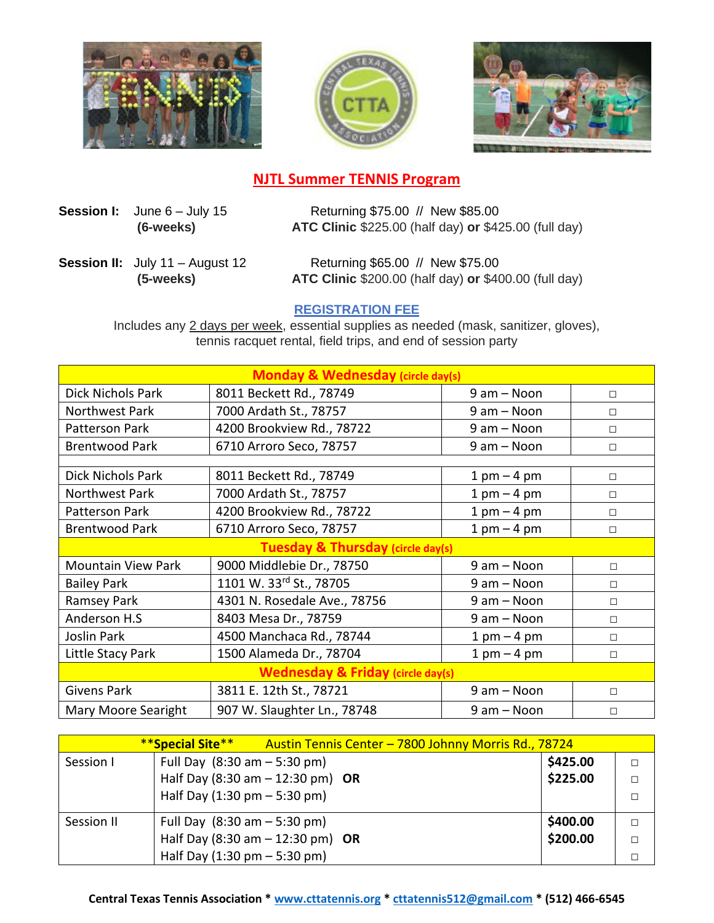





## **NJTL Summer TENNIS Program**

**Session I:** June 6 – July 15 Returning \$75.00 // New \$85.00  **(6-weeks) ATC Clinic** \$225.00 (half day) **or** \$425.00 (full day)

**Session II:** July 11 – August 12 Returning \$65.00 // New \$75.00  **(5-weeks) ATC Clinic** \$200.00 (half day) **or** \$400.00 (full day)

## **REGISTRATION FEE**

Includes any 2 days per week, essential supplies as needed (mask, sanitizer, gloves), tennis racquet rental, field trips, and end of session party

| <b>Monday &amp; Wednesday (circle day(s)</b> |                              |                 |        |  |  |
|----------------------------------------------|------------------------------|-----------------|--------|--|--|
| <b>Dick Nichols Park</b>                     | 8011 Beckett Rd., 78749      | $9$ am $-$ Noon | $\Box$ |  |  |
| Northwest Park                               | 7000 Ardath St., 78757       | $9$ am $-$ Noon | $\Box$ |  |  |
| Patterson Park                               | 4200 Brookview Rd., 78722    | 9 am - Noon     | $\Box$ |  |  |
| <b>Brentwood Park</b>                        | 6710 Arroro Seco, 78757      | 9 am - Noon     | $\Box$ |  |  |
|                                              |                              |                 |        |  |  |
| <b>Dick Nichols Park</b>                     | 8011 Beckett Rd., 78749      | $1$ pm $-4$ pm  | $\Box$ |  |  |
| Northwest Park                               | 7000 Ardath St., 78757       | $1$ pm $-$ 4 pm | $\Box$ |  |  |
| Patterson Park                               | 4200 Brookview Rd., 78722    | $1$ pm $-4$ pm  | $\Box$ |  |  |
| <b>Brentwood Park</b>                        | 6710 Arroro Seco, 78757      | $1$ pm $-$ 4 pm | $\Box$ |  |  |
| <b>Tuesday &amp; Thursday (circle day(s)</b> |                              |                 |        |  |  |
| <b>Mountain View Park</b>                    | 9000 Middlebie Dr., 78750    | 9 am - Noon     | $\Box$ |  |  |
| <b>Bailey Park</b>                           | 1101 W. 33rd St., 78705      | 9 am - Noon     | $\Box$ |  |  |
| Ramsey Park                                  | 4301 N. Rosedale Ave., 78756 | 9 am - Noon     | $\Box$ |  |  |
| Anderson H.S                                 | 8403 Mesa Dr., 78759         | 9 am - Noon     | $\Box$ |  |  |
| Joslin Park                                  | 4500 Manchaca Rd., 78744     | $1$ pm $-$ 4 pm | $\Box$ |  |  |
| Little Stacy Park                            | 1500 Alameda Dr., 78704      | $1$ pm $-4$ pm  | $\Box$ |  |  |
| <b>Wednesday &amp; Friday (circle day(s)</b> |                              |                 |        |  |  |
| <b>Givens Park</b>                           | 3811 E. 12th St., 78721      | 9 am - Noon     | $\Box$ |  |  |
| <b>Mary Moore Searight</b>                   | 907 W. Slaughter Ln., 78748  | 9 am - Noon     | $\Box$ |  |  |

|            | <b>**Special Site**</b>                        |                                    | Austin Tennis Center - 7800 Johnny Morris Rd., 78724 |          |        |
|------------|------------------------------------------------|------------------------------------|------------------------------------------------------|----------|--------|
| Session I  | Full Day $(8:30 \text{ am} - 5:30 \text{ pm})$ |                                    |                                                      | \$425.00 | Л      |
|            |                                                | Half Day (8:30 am $-$ 12:30 pm) OR |                                                      | \$225.00 | $\Box$ |
|            | Half Day $(1:30 \text{ pm} - 5:30 \text{ pm})$ |                                    |                                                      |          |        |
| Session II | Full Day $(8:30 \text{ am} - 5:30 \text{ pm})$ |                                    |                                                      | \$400.00 | $\Box$ |
|            |                                                | Half Day (8:30 am $-$ 12:30 pm) OR |                                                      | \$200.00 | Л      |
|            | Half Day $(1:30 \text{ pm} - 5:30 \text{ pm})$ |                                    |                                                      |          |        |